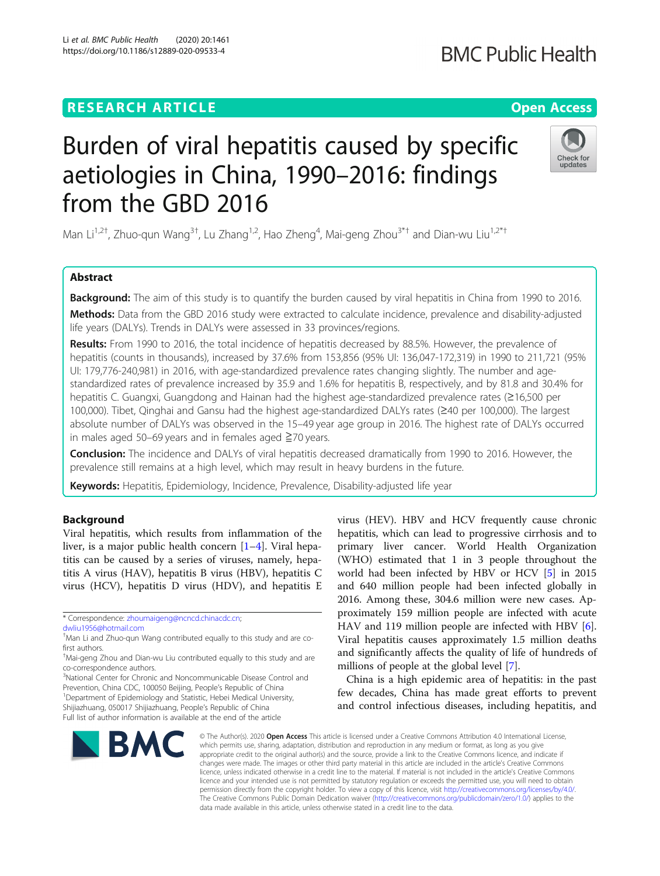# **RESEARCH ARTICLE Example 2014 12:30 The Contract of Contract ACCESS**

# Burden of viral hepatitis caused by specific aetiologies in China, 1990–2016: findings from the GBD 2016

Man Li<sup>1,2†</sup>, Zhuo-qun Wang<sup>3†</sup>, Lu Zhang<sup>1,2</sup>, Hao Zheng<sup>4</sup>, Mai-geng Zhou<sup>3\*†</sup> and Dian-wu Liu<sup>1,2\*†</sup>

# Abstract

**Background:** The aim of this study is to quantify the burden caused by viral hepatitis in China from 1990 to 2016. Methods: Data from the GBD 2016 study were extracted to calculate incidence, prevalence and disability-adjusted life years (DALYs). Trends in DALYs were assessed in 33 provinces/regions.

Results: From 1990 to 2016, the total incidence of hepatitis decreased by 88.5%. However, the prevalence of hepatitis (counts in thousands), increased by 37.6% from 153,856 (95% UI: 136,047-172,319) in 1990 to 211,721 (95% UI: 179,776-240,981) in 2016, with age-standardized prevalence rates changing slightly. The number and agestandardized rates of prevalence increased by 35.9 and 1.6% for hepatitis B, respectively, and by 81.8 and 30.4% for hepatitis C. Guangxi, Guangdong and Hainan had the highest age-standardized prevalence rates (≥16,500 per 100,000). Tibet, Qinghai and Gansu had the highest age-standardized DALYs rates (≥40 per 100,000). The largest absolute number of DALYs was observed in the 15–49 year age group in 2016. The highest rate of DALYs occurred in males aged 50–69 years and in females aged ≧70 years.

Conclusion: The incidence and DALYs of viral hepatitis decreased dramatically from 1990 to 2016. However, the prevalence still remains at a high level, which may result in heavy burdens in the future.

Keywords: Hepatitis, Epidemiology, Incidence, Prevalence, Disability-adjusted life year

## Background

Viral hepatitis, which results from inflammation of the liver, is a major public health concern [\[1](#page-10-0)–[4\]](#page-10-0). Viral hepatitis can be caused by a series of viruses, namely, hepatitis A virus (HAV), hepatitis B virus (HBV), hepatitis C virus (HCV), hepatitis D virus (HDV), and hepatitis E

\* Correspondence: [zhoumaigeng@ncncd.chinacdc.cn;](mailto:zhoumaigeng@ncncd.chinacdc.cn)

<sup>3</sup>National Center for Chronic and Noncommunicable Disease Control and Prevention, China CDC, 100050 Beijing, People's Republic of China <sup>1</sup> <sup>1</sup> Department of Epidemiology and Statistic, Hebei Medical University,

virus (HEV). HBV and HCV frequently cause chronic hepatitis, which can lead to progressive cirrhosis and to primary liver cancer. World Health Organization (WHO) estimated that 1 in 3 people throughout the world had been infected by HBV or HCV [[5\]](#page-10-0) in 2015 and 640 million people had been infected globally in 2016. Among these, 304.6 million were new cases. Approximately 159 million people are infected with acute HAV and 119 million people are infected with HBV [\[6](#page-10-0)]. Viral hepatitis causes approximately 1.5 million deaths and significantly affects the quality of life of hundreds of millions of people at the global level [\[7](#page-10-0)].

China is a high epidemic area of hepatitis: in the past few decades, China has made great efforts to prevent and control infectious diseases, including hepatitis, and

© The Author(s), 2020 **Open Access** This article is licensed under a Creative Commons Attribution 4.0 International License, which permits use, sharing, adaptation, distribution and reproduction in any medium or format, as long as you give appropriate credit to the original author(s) and the source, provide a link to the Creative Commons licence, and indicate if changes were made. The images or other third party material in this article are included in the article's Creative Commons licence, unless indicated otherwise in a credit line to the material. If material is not included in the article's Creative Commons licence and your intended use is not permitted by statutory regulation or exceeds the permitted use, you will need to obtain permission directly from the copyright holder. To view a copy of this licence, visit [http://creativecommons.org/licenses/by/4.0/.](http://creativecommons.org/licenses/by/4.0/) The Creative Commons Public Domain Dedication waiver [\(http://creativecommons.org/publicdomain/zero/1.0/](http://creativecommons.org/publicdomain/zero/1.0/)) applies to the data made available in this article, unless otherwise stated in a credit line to the data.

**BMC** 

Shijiazhuang, 050017 Shijiazhuang, People's Republic of China





[dwliu1956@hotmail.com](mailto:dwliu1956@hotmail.com)

<sup>†</sup> Man Li and Zhuo-qun Wang contributed equally to this study and are cofirst authors.

<sup>†</sup> Mai-geng Zhou and Dian-wu Liu contributed equally to this study and are co-correspondence authors.

Full list of author information is available at the end of the article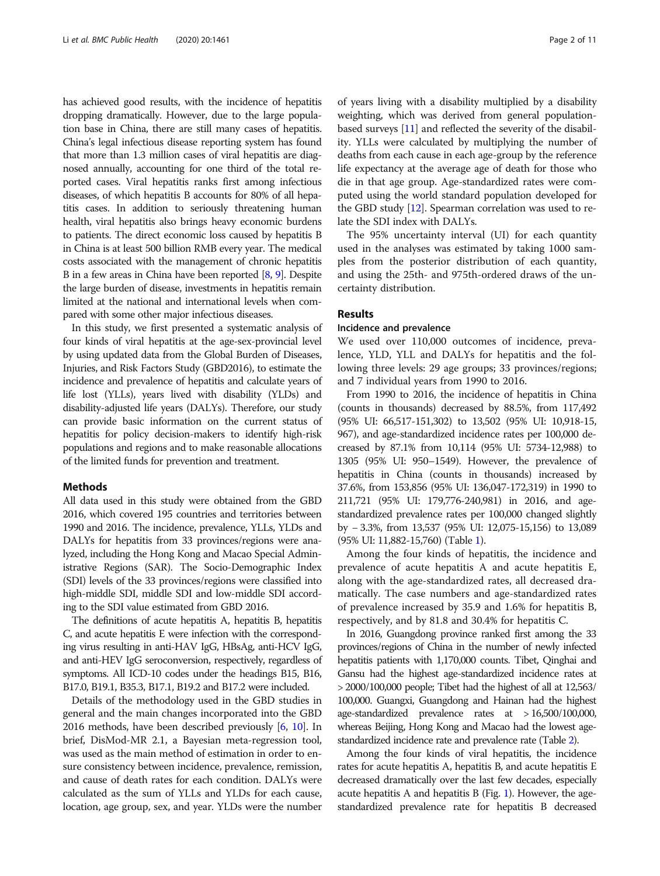has achieved good results, with the incidence of hepatitis dropping dramatically. However, due to the large population base in China, there are still many cases of hepatitis. China's legal infectious disease reporting system has found that more than 1.3 million cases of viral hepatitis are diagnosed annually, accounting for one third of the total reported cases. Viral hepatitis ranks first among infectious diseases, of which hepatitis B accounts for 80% of all hepatitis cases. In addition to seriously threatening human health, viral hepatitis also brings heavy economic burdens to patients. The direct economic loss caused by hepatitis B in China is at least 500 billion RMB every year. The medical costs associated with the management of chronic hepatitis B in a few areas in China have been reported [\[8,](#page-10-0) [9](#page-10-0)]. Despite the large burden of disease, investments in hepatitis remain limited at the national and international levels when compared with some other major infectious diseases.

In this study, we first presented a systematic analysis of four kinds of viral hepatitis at the age-sex-provincial level by using updated data from the Global Burden of Diseases, Injuries, and Risk Factors Study (GBD2016), to estimate the incidence and prevalence of hepatitis and calculate years of life lost (YLLs), years lived with disability (YLDs) and disability-adjusted life years (DALYs). Therefore, our study can provide basic information on the current status of hepatitis for policy decision-makers to identify high-risk populations and regions and to make reasonable allocations of the limited funds for prevention and treatment.

#### Methods

All data used in this study were obtained from the GBD 2016, which covered 195 countries and territories between 1990 and 2016. The incidence, prevalence, YLLs, YLDs and DALYs for hepatitis from 33 provinces/regions were analyzed, including the Hong Kong and Macao Special Administrative Regions (SAR). The Socio-Demographic Index (SDI) levels of the 33 provinces/regions were classified into high-middle SDI, middle SDI and low-middle SDI according to the SDI value estimated from GBD 2016.

The definitions of acute hepatitis A, hepatitis B, hepatitis C, and acute hepatitis E were infection with the corresponding virus resulting in anti-HAV IgG, HBsAg, anti-HCV IgG, and anti-HEV IgG seroconversion, respectively, regardless of symptoms. All ICD-10 codes under the headings B15, B16, B17.0, B19.1, B35.3, B17.1, B19.2 and B17.2 were included.

Details of the methodology used in the GBD studies in general and the main changes incorporated into the GBD 2016 methods, have been described previously [\[6,](#page-10-0) [10](#page-10-0)]. In brief, DisMod-MR 2.1, a Bayesian meta-regression tool, was used as the main method of estimation in order to ensure consistency between incidence, prevalence, remission, and cause of death rates for each condition. DALYs were calculated as the sum of YLLs and YLDs for each cause, location, age group, sex, and year. YLDs were the number of years living with a disability multiplied by a disability weighting, which was derived from general populationbased surveys [\[11\]](#page-10-0) and reflected the severity of the disability. YLLs were calculated by multiplying the number of deaths from each cause in each age-group by the reference life expectancy at the average age of death for those who die in that age group. Age-standardized rates were computed using the world standard population developed for the GBD study [\[12](#page-10-0)]. Spearman correlation was used to relate the SDI index with DALYs.

The 95% uncertainty interval (UI) for each quantity used in the analyses was estimated by taking 1000 samples from the posterior distribution of each quantity, and using the 25th- and 975th-ordered draws of the uncertainty distribution.

# Results

#### Incidence and prevalence

We used over 110,000 outcomes of incidence, prevalence, YLD, YLL and DALYs for hepatitis and the following three levels: 29 age groups; 33 provinces/regions; and 7 individual years from 1990 to 2016.

From 1990 to 2016, the incidence of hepatitis in China (counts in thousands) decreased by 88.5%, from 117,492 (95% UI: 66,517-151,302) to 13,502 (95% UI: 10,918-15, 967), and age-standardized incidence rates per 100,000 decreased by 87.1% from 10,114 (95% UI: 5734-12,988) to 1305 (95% UI: 950–1549). However, the prevalence of hepatitis in China (counts in thousands) increased by 37.6%, from 153,856 (95% UI: 136,047-172,319) in 1990 to 211,721 (95% UI: 179,776-240,981) in 2016, and agestandardized prevalence rates per 100,000 changed slightly by − 3.3%, from 13,537 (95% UI: 12,075-15,156) to 13,089 (95% UI: 11,882-15,760) (Table [1\)](#page-2-0).

Among the four kinds of hepatitis, the incidence and prevalence of acute hepatitis A and acute hepatitis E, along with the age-standardized rates, all decreased dramatically. The case numbers and age-standardized rates of prevalence increased by 35.9 and 1.6% for hepatitis B, respectively, and by 81.8 and 30.4% for hepatitis C.

In 2016, Guangdong province ranked first among the 33 provinces/regions of China in the number of newly infected hepatitis patients with 1,170,000 counts. Tibet, Qinghai and Gansu had the highest age-standardized incidence rates at > 2000/100,000 people; Tibet had the highest of all at 12,563/ 100,000. Guangxi, Guangdong and Hainan had the highest age-standardized prevalence rates at > 16,500/100,000, whereas Beijing, Hong Kong and Macao had the lowest agestandardized incidence rate and prevalence rate (Table [2\)](#page-3-0).

Among the four kinds of viral hepatitis, the incidence rates for acute hepatitis A, hepatitis B, and acute hepatitis E decreased dramatically over the last few decades, especially acute hepatitis A and hepatitis B (Fig. [1](#page-6-0)). However, the agestandardized prevalence rate for hepatitis B decreased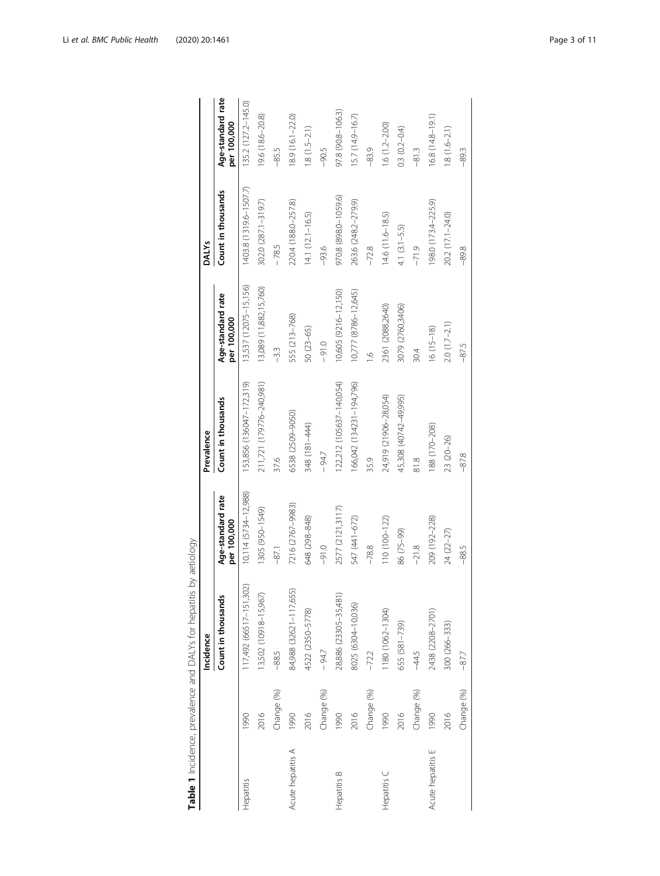<span id="page-2-0"></span>

|                   |            | Incidence               |                                  | Prevalence               |                                  | <b>DALYs</b>           |                                  |
|-------------------|------------|-------------------------|----------------------------------|--------------------------|----------------------------------|------------------------|----------------------------------|
|                   |            | Count in thousands      | Age-standard rate<br>per 100,000 | Count in thousands       | Age-standard rate<br>per 100,000 | Count in thousands     | Age-standard rate<br>per 100,000 |
| Hepatitis         | 1990       | (17,492 (66517-151,302) | 10,114 (5734-12,988)             | 153,856 (136047-172,319) | 13,537 (12075-15,156)            | 1403.8 (1319.6-1507.7) | 135.2 (127.2-145.0)              |
|                   | 2016       | 13,502 (10918-15,967)   | 1305 (950-1549)                  | 211,721 (179776-240,981) | 13,089 (11,882,15,760)           | 302.0 (287.1-319.7)    | 19.6 (18.6-20.8)                 |
|                   | Change (%) | $-88.5$                 | $-87.1$                          | 37.6                     | $-3.3$                           | $-78.5$                | $-85.5$                          |
| Acute hepatitis A | 1990       | 84,988 (32621-117,655)  | 7216 (2767-9983)                 | 6538 (2509-9050)         | 555 (213-768)                    | 220.4 (188.0-257.8)    | 18.9 (16.1-22.0)                 |
|                   | 2016       | 4522 (2350-5778)        | 648 (298-848)                    | 348 (181-444)            | $50(23-65)$                      | 14.1 (12.1-16.5)       | $1.8(1.5-2.1)$                   |
|                   | Change (%) | $-94.7$                 | $-91.0$                          | $-94.7$                  | $-91.0$                          | $-93.6$                | $-90.5$                          |
| Hepatitis B       | 1990       | 28,886 (23305-35,481)   | 2577 (2121,3117)                 | 122,212 (105637-140,054) | 10,605 (9216-12,150)             | 970.8 (898.0-1059.6)   | 97.8 (90.8-106.3)                |
|                   | 2016       | 8025 (6304-10,036)      | 547 (441-672)                    | 166,042 (134231-194,796) | 10,777 (8786-12,645)             | 263.6 (248.2-279.9)    | 15.7 (14.9-16.7)                 |
|                   | Change (%) | $-722$                  | $-78.8$                          | 35.9                     | $\circ$                          | $-728$                 | $-83.9$                          |
| Hepatitis C       | 1990       | 180 (1062-1304)         | $110(100 - 122)$                 | 24,919 (21906-28,054)    | 2361 (2088,2640)                 | 14.6 (11.6-18.5)       | $1.6(1.2 - 2.00)$                |
|                   | 2016       | 655 (581-739)           | 86 (75-99)                       | 45,308 (40742-49,995)    | 3079 (2760,3406)                 | $4.1$ $(3.1 - 5.5)$    | $0.3(0.2 - 0.4)$                 |
|                   | Change (%) | $-44.5$                 | $-21.8$                          | $\frac{8}{81.8}$         | 30.4                             | $-71.9$                | $-81.3$                          |
| Acute hepatitis E | 1990       | 2438 (2208-2701)        | 209 (192-228)                    | 188 (170-208)            | $16(15-18)$                      | (98.0 (173.4-225.9)    | $16.8(14.8 - 19.1)$              |
|                   | 2016       | 300 (266-333)           | 24 (22-27)                       | 23 (20-26)               | $2.0$ (1.7-2.1)                  | 20.2 (17.1-24.0)       | $1.8(1.6 - 2.1)$                 |
|                   | Change (%) | $-87.7$                 | $-88.5$                          | $-87.8$                  | $-87.5$                          | $-89.8$                | $-89.3$                          |
|                   |            |                         |                                  |                          |                                  |                        |                                  |

| $20 - 20 + 10 = 20$<br>١<br>)<br>)    |  |
|---------------------------------------|--|
| Į<br>$+0.700000$<br>J                 |  |
| í<br>j<br>1                           |  |
| $\overline{ }$<br>האמור המהרה המ<br>J |  |
| ר התחלק בין ה<br>J                    |  |
|                                       |  |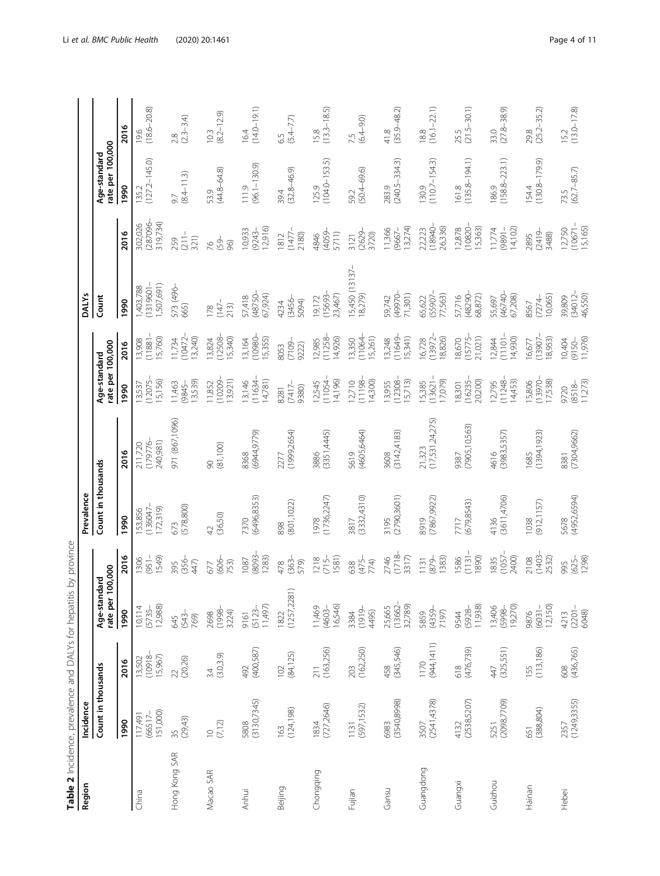<span id="page-3-0"></span>

| Region        | Incidence                         |                                 |                                 |                            | Prevalence                    |                                   |                                  |                                 | <b>DALYs</b>                      |                                 |                                  |                         |
|---------------|-----------------------------------|---------------------------------|---------------------------------|----------------------------|-------------------------------|-----------------------------------|----------------------------------|---------------------------------|-----------------------------------|---------------------------------|----------------------------------|-------------------------|
|               | Count in thousands                |                                 | Age-standard<br>rate per        | 00,000                     | Count in thousands            |                                   | rate per 100,000<br>Age-standard |                                 | Count                             |                                 | rate per 100,000<br>Age-standard |                         |
|               | 1990                              | 2016                            | 1990                            | 2016                       | 1990                          | 2016                              | 1990                             | 2016                            | 1990                              | 2016                            | 1990                             | 2016                    |
| China         | 151,000)<br>$(66517 -$<br>117,491 | $(10918 -$<br>15,967)<br>13,502 | $(5735 -$<br>12,988)<br>10,114  | $(951 -$<br>1549)<br>1306  | 172,319)<br>53,856<br>(136047 | $(179776-$<br>240,981)<br>211,720 | $12075 -$<br>5,156)<br>13,537    | 5,760)<br>$11881 -$<br>3,908    | ,507,691)<br>1319601-<br>,403,788 | 319,734)<br>287096<br>302,026   | $(127.2 - 145.0)$<br>135.2       | $(18.6 - 20.8)$<br>19.6 |
| Hong Kong SAR | 35<br>(29,43)                     | 22<br>(20,26)                   | (543<br>769)<br>645             | $(356 -$<br>447)<br>395    | (578, 800)<br>673             | 971 (867,1096)                    | 13,539<br>11,463<br>$-5+89$      | 3,240)<br>$10472 -$<br>11,734   | 573 (496-<br>665)                 | $\frac{1}{2}$<br>321)<br>259    | $(8.4 - 11.3)$<br>9.7            | $2.8$<br>(2.3–3.4)      |
| Macao SAR     | (7,12)<br>$\supseteq$             | (3.0,3.9)<br>34                 | $-8661$<br>3224)<br>2698        | $-906$<br>753)<br>677      | (36, 50)<br>$\overline{4}$    | (81, 100)<br>8                    | $(10209 -$<br>3,921)<br>11,852   | 12508-<br>5,340)<br>3,824       | $(147 -$<br>213)<br>178           | $(59 -$<br>8<br>$\frac{8}{2}$   | $(44.8 - 64.8)$<br>53.9          | $(8.2 - 12.9)$<br>103   |
| Anhui         | (3130, 7345)<br>5808              | 492<br>(400,587)                | (1,497)<br>$(5123 -$<br>9161    | 8093<br>283)<br>1087       | (6496,8353)<br>7370           | (6944,9779)<br>8368               | 11634<br>(4,781)<br>3,146        | 10980-<br>5,355)<br>3,164       | $(48750 -$<br>67,924)<br>57,418   | 12,916<br>10,933<br>$(9243 -$   | $(96.1 - 130.9)$<br>111.9        | $(14.0 - 19.1)$<br>164  |
| Beijing       | (124, 198)<br>163                 | (84, 125)<br>102                | (1257,2281)<br>1822             | $363-$<br>579)<br>478      | (801, 1022)<br>898            | (1999, 2654)<br>2277              | $(7417 -$<br>9380)<br>8281       | $(7109 -$<br>9222)<br>8053      | $(3456 -$<br>5094)<br>4234        | $(1477 -$<br>2180)<br>1812      | $(32.8 - 46.9)$<br>39.4          | $(5.4 - 7.7)$<br>6.5    |
| Chongqing     | (727, 2646)<br>1834               | (163,256)<br>211                | 16,546)<br>11,469<br>$(4603 -$  | 1581)<br>$(715 -$<br>1218  | (1736, 2247)<br>1978          | (3351,4445)<br>3886               | $(11054 -$<br>14,196)<br>12,545  | $(11258 -$<br>4,926)<br>12,985  | 23,467)<br>$(15693 -$<br>19,172   | $(4059 -$<br>5711)<br>4846      | $(104.0 - 153.5)$<br>125.9       | $(13.3 - 18.5)$<br>15.8 |
| Fujian        | 1131<br>(597,1532)                | 203<br>(162,250)                | $-6191$<br>4495)<br>3384        | $(475 -$<br>74)<br>638     | (3332,4310)<br>3817           | (4605,6464)<br>5619               | $(11198 -$<br>4,300)<br>12,710   | 11064<br>5,261)<br>3,350        | 15,450 (13137–<br>18,279)         | (2629<br>3720)<br>3121          | $(50.4 - 69.6)$<br>59.2          | $(6.4 - 9.0)$<br>7.5    |
| Gansu         | 3540,8998)<br>6983                | (345,546)<br>458                | $(13662 -$<br>32,789)<br>25,665 | $(1718 -$<br>3317)<br>2746 | (2790,3601)<br>3195           | (3142, 4183)<br>3608              | $(12308 -$<br>15,713<br>13,955   | $11649 -$<br>5,341)<br>3,248    | 71,301)<br>49970-<br>59,742       | 13,274<br>11,366<br>$(9667 -$   | $(240.5 - 334.3)$<br>283.9       | $(35.9 - 48.2)$<br>41.8 |
| Guangdong     | (2541, 4378)<br>3507              | (944, 1411)<br>1170             | $(4359 -$<br>7197)<br>5859      | $(879 -$<br>1383)<br>1131  | (7867,9922)<br>8919           | (17,531,24,275)<br>21,323         | $(13621 -$<br>17,079)<br>5,385   | $(13972 -$<br>8,826)<br>6,728   | 77,563)<br>$(S5907 -$<br>65,622   | $-0$ P681)<br>26,336)<br>22,223 | $(110.7 - 154.3)$<br>130.9       | $(16.1 - 22.1)$<br>18.8 |
| Guangxi       | (2538,5207)<br>4132               | (476, 739)<br>618               | 11,938)<br>$(5928 -$<br>9544    | (1131)<br>1890)<br>586     | 679,8543)<br>7717             | (7905,10,563)<br>9387             | $(16235 -$<br>20,200)<br>18,301  | 21,021)<br>8,670<br>15775-      | 68,872)<br>57,716<br>$(48290 -$   | $(10820 -$<br>15,363)<br>12,878 | $(135.8 - 194.1)$<br>161.8       | $(21.5 - 30.1)$<br>25.5 |
| Guizhou       | (2098,7709)<br>5251               | (325,551)<br>447                | $(5998 - 19,270)$<br>13,406     | (1057)<br>2400)<br>835     | (3611, 4706)<br>4136          | (3983, 5357)<br>4616              | $(11248 -$<br>14,453<br>12,795   | $(11101 -$<br>4,930)<br>2,844   | $(46740 -$<br>67,208)<br>55,697   | 14,102)<br>11,774<br>$-1686$    | $(158.8 - 223.1)$<br>186.9       | $(27.8 - 38.9)$<br>33.0 |
| Hainan        | (388, 804)<br>651                 | (113, 186)<br>155               | 12,150)<br>$(6031 -$<br>9876    | $(1403 -$<br>2532)<br>2108 | (912, 1157)<br>1038           | (1394, 1923)<br>1685              | 15,806<br>(13970-<br>17,538)     | 18,953)<br>$(13907 -$<br>16,677 | 10,065)<br>$(7274 -$<br>8567      | $(2419 -$<br>3488)<br>2895      | $(130.8 - 179.9)$<br>154.4       | $(25.2 - 35.2)$<br>29.8 |
| Hebei         | (1249, 3355)<br>2357              | (436,765)<br>608                | $(2201 -$<br>6048)<br>4213      | $(625 -$<br>1298)<br>995   | (4952, 6594)<br>5678          | (7304,9662)<br>8381               | 11,273)<br>$(8518 -$<br>9720     | 11,976)<br>$-0.150$<br>10,404   | 46,550)<br>$(34012 -$<br>39,809   | 15,165)<br>12,750<br>$(10671 -$ | $(62.7 - 85.7)$<br>73.5          | $(13.0 - 17.8)$<br>15.2 |

Table 2 Incidence, prevalence and DALYs for hepatitis by province **Table 2** Incidence, prevalence and DALYs for hepatitis by province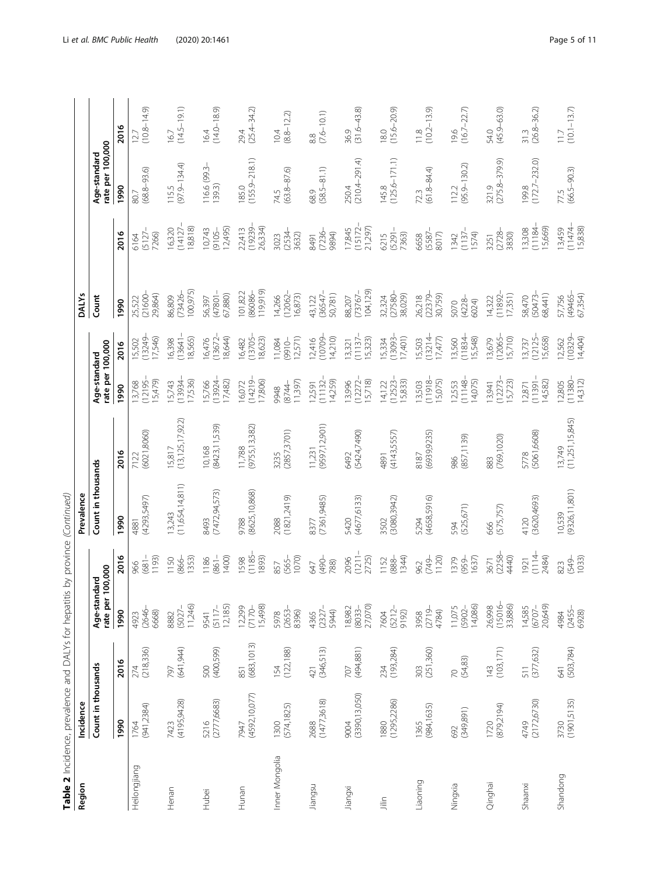| Region         | Incidence               |                   |                                   |                            | Prevalence                |                              |                                                           |                                | <b>DALYs</b>                     |                                 |                                  |                         |
|----------------|-------------------------|-------------------|-----------------------------------|----------------------------|---------------------------|------------------------------|-----------------------------------------------------------|--------------------------------|----------------------------------|---------------------------------|----------------------------------|-------------------------|
|                | Count in thousands      |                   | Age-standard<br>rate per          | 100,000                    | Count in thousands        |                              | rate per 100,000<br>Age-standard                          |                                | Count                            |                                 | rate per 100,000<br>Age-standard |                         |
|                | 1990                    | 2016              | 1990                              | 2016                       | 1990                      | 2016                         | 1990                                                      | 2016                           | 1990                             | 2016                            | 1990                             | 2016                    |
| Heilongjiang   | (941, 2384)<br>1764     | (218,336)<br>274  | (2646-<br>6668)<br>4923           | $(681 -$<br>193)<br>966    | (4293,5497)<br>4881       | (6021, 8060)<br>7122         | $(12195 -$<br>5,479)<br>13,768                            | $(13249 -$<br>7,546)<br>5,502  | $(21600 -$<br>29,864)<br>25,522  | 7266)<br>(5127<br>5164          | $(68.8 - 93.6)$<br>80.7          | $(10.8 - 14.9)$<br>127  |
| Henan          | 7423<br>(4195,9428)     | 797<br>(641,944)  | 11,246)<br>$(5027 -$<br>8882      | $-366$<br>353)<br>1150     | (11,654,14,811)<br>13,243 | (13, 125, 17, 922)<br>15,817 | $(13934 -$<br>17,536)<br>5,743                            | 13641-<br>8,565)<br>6,398      | 100,975)<br>73426-<br>86,809     | 18,818<br>16,320<br>(14127      | $(97.9 - 134.4)$<br>115.5        | $(14.5 - 19.1)$<br>16.7 |
| Hubei          | (2777, 6683)<br>5216    | (400,599)<br>500  | 12,185)<br>$(5117 -$<br>9541      | $-108$<br>1400)<br>186     | (7472, 94, 573)<br>8493   | (8423, 11, 539)<br>10,168    | 17,482)<br>$(13924 -$<br>15,766                           | 8,644)<br>13672-<br>6,476      | $-10874$<br>67,880)<br>56,397    | 12,495)<br>$-50105$<br>10,743   | 16.6 (99.3-<br>139.3)            | $(14.0 - 18.9)$<br>164  |
| Hunan          | (4592, 10, 077)<br>7947 | 851<br>(683,1013) | $12,299$<br>$(7170-$<br>$15,498)$ | 1185-<br>893)<br>598       | (8625,10,868)<br>9788     | (9755, 13, 382)<br>11,788    | $(14219 -$<br>17,806)<br>16,072                           | 8,623)<br>$13705 -$<br>6,482   | 119,919)<br>101,822<br>$-96086$  | $(19239 -$<br>26,334)<br>22,413 | $(155.9 - 218.1)$<br>185.0       | $(25.4 - 34.2)$<br>29.4 |
| Inner Mongolia | (574, 1825)<br>1300     | 154<br>(122,188)  | 5978<br>(2653–<br>8396)           | 1070)<br>$(565 -$<br>857   | (1821, 2419)<br>2088      | (2857, 3701)<br>3235         | 11,397)<br>$(8744 -$<br>948                               | 2,571)<br>11,084<br>$-0166$    | $(12062 -$<br>16,873<br>14,266   | (2534<br>3632)<br>3023          | $(63.8 - 87.6)$<br>74.5          | $(8.8 - 12.2)$<br>10.4  |
| Jiangsu        | (1477, 3618)<br>2688    | (346,513)<br>421  | $(2327 -$<br>5944)<br>4365        | $-064$<br>788)<br>647      | (7361,9485)<br>8377       | (9597, 12, 901)<br>11,231    | $(11132 -$<br>14,259)<br>12,591                           | $(10709 -$<br>4,210)<br>12,416 | 50,781)<br>$36547 -$<br>43,122   | $(7236 -$<br>9894)<br>8491      | $(58.5 - 81.1)$<br>689           | $(7.6 - 10.1)$<br>8.8   |
| Jiangxi        | (3390, 13, 050)<br>9004 | 707<br>(494,881)  | $(8033 -$<br>27,070)<br>18,982    | $(1211 -$<br>2725)<br>2096 | 4677,6133)<br>5420        | (5424,7490)<br>6492          | $12272-$<br>5,718)<br>3,996                               | 5,323)<br>(11137<br>3,321      | 104,129)<br>$(73767 -$<br>88,207 | $(15172 -$<br>21,297)<br>17,845 | $(210.4 - 291.4)$<br>250.4       | $(31.6 - 43.8)$<br>36.9 |
| lilin          | (1295,2286)<br>1880     | (193, 284)<br>234 | $(5212 -$<br>9192)<br>7604        | 1344)<br>$(888 -$<br>1152  | 3080,3942)<br>3502        | (4143,5557)<br>4891          | $(12523 -$<br>15,833)<br>14,122                           | 7,401)<br>$(13093 -$<br>5,334  | (27580-<br>38,029)<br>32,324     | $(5291 -$<br>7363)<br>6215      | $(125.6 - 171.1)$<br>145.8       | $(15.6 - 20.9)$<br>18.0 |
| Liaoning       | (984, 1635)<br>1365     | 303<br>(251,360)  | $(2719 -$<br>4784)<br>3958        | 1120<br>$(749 -$<br>962    | (4658, 5916)<br>5294      | (6939, 9235)<br>8187         | $-81611$<br>5,075)<br>13,503                              | $13214-$<br>7,477)<br>5,503    | $(22379 -$<br>30,759)<br>26,218  | $(5587 -$<br>8017)<br>6658      | $(61.8 - 84.4)$<br>723           | $(10.2 - 13.9)$<br>118  |
| Ningxia        | (349, 891)<br>692       | 70<br>(54,83)     | 14,086)<br>11,075<br>(5902-       | 1637)<br>1379<br>$-659$    | (525, 671)<br>594         | 857,1139)<br>986             | $11148-$<br>(4,075)<br>12,553                             | 11834<br>5,548)<br>3,560       | $(4228 -$<br>6024)<br>5070       | 1574)<br>(1137)<br>1342         | $(95.9 - 130.2)$<br>112.2        | $(16.7 - 22.7)$<br>19.6 |
| Qinghai        | (879,2194)<br>1720      | (103, 171)<br>143 | $(15016 -$<br>33,886)<br>26,998   | $(2258 -$<br>4440)<br>3671 | (575,757)<br>666          | (769, 1020)<br>883           | $(12273 -$<br>5,723)<br>13,941                            | $(12065 -$<br>5,710)<br>3,679  | 17,351<br>$(11892 -$<br>14,322   | $(2728 -$<br>3830)<br>3251      | $(275.8 - 379.9)$<br>321.9       | $(45.9 - 63.0)$<br>54.0 |
| Shaanxi        | (2172, 6730)<br>4749    | (377, 632)<br>511 | 20,649)<br>14,585<br>$(6707 -$    | $(1114 -$<br>2484)<br>1921 | (3620,4693)<br>4120       | (5061,6608)<br>5778          | $(11391 -$<br>14,582<br>12,871                            | $(12125 -$<br>5,658)<br>3,737  | 68,441)<br>$(50473 -$<br>58,470  | $(1184 -$<br>15,669)<br>13,308  | $(172.7 - 232.0)$<br>199.8       | $(26.8 - 36.2)$<br>31.3 |
| Shandong       | 3730<br>(1901,5135)     | (503, 784)<br>641 | $(2455 -$<br>6928)<br>4984        | 1033)<br>$(549 -$<br>823   | 10,539<br>(9326,11,801)   | (11,251,15,845)<br>13,749    | $\begin{array}{c} 12,805 \\ (11380 - 14,312) \end{array}$ | 12,562<br>(10329-<br>14,404)   | 67,354)<br>57,756<br>(49465-     | $(11474 -$<br>15,838)<br>13,459 | $(66.5 - 90.3)$<br>77.5          | $(10.1 - 13.7)$<br>117  |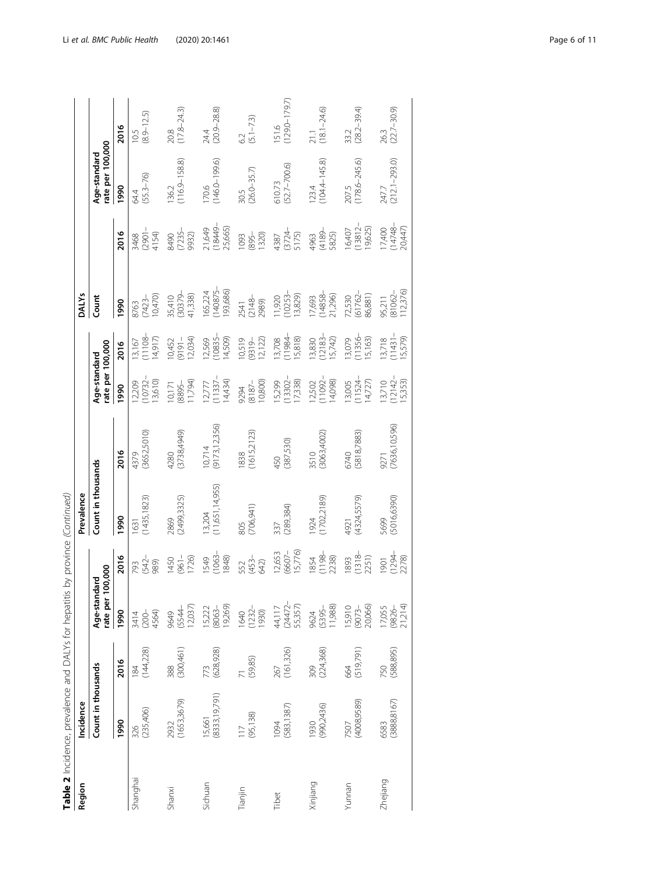|          | Incidence                    |                  |                               |                               | Prevalence                |                          |                                  |                                 | <b>DALYS</b>                    |                                 |                                  |                            |
|----------|------------------------------|------------------|-------------------------------|-------------------------------|---------------------------|--------------------------|----------------------------------|---------------------------------|---------------------------------|---------------------------------|----------------------------------|----------------------------|
|          | Count in thousands           |                  | lard<br>Age-stand<br>rate per | 00,000                        | Count in thousands        |                          | rate per 100,000<br>Age-standard |                                 | Count                           |                                 | rate per 100,000<br>Age-standard |                            |
|          | 1990                         | 2016             | 1990                          | 2016                          | 1990                      | 2016                     | 1990                             | 2016                            | <b>1990</b>                     | 2016                            | 1990                             | 2016                       |
| Shanghai | 326<br>(235,406)             | (144,228)<br>184 | 4564)<br>3414<br>(200-        | $(542 -$<br>989)<br>93        | (1435, 1823)<br>1631      | 3652,5010)<br>4379       | $(10732 -$<br>3,610)<br>2,209    | $11108 -$<br>4,917)<br>3,167    | (0.470)<br>$7423 -$<br>8763     | $-1062$<br>4154)<br>3468        | $(55.3 - 76)$<br>64.4            | $(8.9 - 12.5)$<br>10.5     |
| Shanxi   | (1653,3679)<br>2932          | (300,461)<br>388 | 12,037)<br>(5544-<br>9649     | $(961 -$<br>1726)<br>450      | (2499, 3325)<br>2869      | (3738, 4949)<br>4280     | 1,794<br>$-5688$<br>0,171        | $(9191 -$<br>12,034)<br>10,452  | $(30379 -$<br>41,338)<br>35,410 | $(7235 -$<br>9932)<br>8490      | $(116.9 - 158.8)$<br>36.2        | $(17.8 - 24.3)$<br>20.8    |
| Sichuan  | (8333, 19, 791)<br>15,661    | 773<br>(628,928) | 15,222<br>(8063-<br>19,269)   | $1063 -$<br>848)<br>549       | 13,204<br>(11,651,14,955) | (9173, 12, 356)<br>0,714 | 14,434<br>(11337<br>12,777       | $(10835 -$<br>14,509)<br>12,569 | 165,224<br>(140875–<br>(93,686  | $(18449 -$<br>25,665)<br>21,649 | 146.0-199.6)<br>170.6            | $(20.9 - 28.8)$<br>24.4    |
| Tianjin  | (95, 138)<br>$\overline{17}$ | (59, 85)         | 1640<br>(1232–<br>1930)       | $(453 -$<br>642)<br>552       | (706,941)<br>805          | (1615,2123)<br>838       | $(8187 -$<br>10,800)<br>9294     | 12,122<br>10,519<br>$(9319 -$   | $(2148 - 2989)$<br>2541         | $(895 -$<br><b>320</b><br>1093  | $(26.0 - 35.7)$<br>30.5          | $(5.1 - 7.3)$<br>6.2       |
| Tibet    | (583, 1387)<br>1094          | (161,326)<br>267 | 44,117<br>(24472–<br>55,357)  | 5,776)<br>12,653<br>$(6607 -$ | (289, 384)<br>337         | (387,530)<br>450         | $\frac{13302}{17,338}$<br>15,299 | 15,818<br>13,708                | $(10253 - 13,829)$<br>1,920     | $(3724 - 5175)$<br>4387         | $610.73$<br>$(52.7 - 700.6)$     | $(129.0 - 179.7)$<br>151.6 |
| Xinjiang | (990,2436)<br>1930           | (224,368)<br>309 | 11,988)<br>$(5395 -$<br>9624  | $-8611$<br>2238)<br>854       | (1702,2189)<br>924        | (3063,4002)<br>3510      | $(11092 -$<br>(860'+1<br>12,502  | $(12183 - 15,742)$<br>13,830    | $(14858 -$<br>21,296)<br>17,693 | $(4189 -$<br>5825)<br>4963      | $104.4 - 145.8$<br>23.4          | $(18.1 - 24.6)$<br>21.1    |
| Yunnan   | (4008,9589)<br>7507          | (519,791)<br>664 | 15,910<br>(9073–<br>20,066)   | $(1318 -$<br>251)<br>893      | (4324,5579)<br>4921       | (5818, 7883)<br>6740     | 11524-<br>13,005<br>4,727)       | 11356-<br>13,079                | 72,530<br>(61762-<br>86,881)    | $13812 -$<br>19,625)<br>16,407  | $(178.6 - 245.6)$<br>207.5       | $(28.2 - 39.4)$<br>33.2    |
| Zhejiang | (3888, 8167)<br>6583         | (588,895)<br>750 | $(9826 - 21,214)$<br>17,055   | $(1294 -$<br>2278)<br>501     | (5016, 6390)<br>5699      | (7636,10,596)<br>9271    | 5,353)<br>13,710<br>$12142 -$    | $(11431 -$<br>15,579)<br>13,718 | 112,376<br>$(81062 -$<br>95,211 | $(14748 -$<br>20,447)<br>17,400 | $(212.1 - 293.0)$<br>247.7       | $(22.7 - 30.9)$<br>263     |

| I      |                           |
|--------|---------------------------|
|        |                           |
|        | J                         |
|        |                           |
|        | i                         |
|        |                           |
|        |                           |
|        |                           |
|        |                           |
|        |                           |
|        |                           |
|        |                           |
|        |                           |
|        | J                         |
|        |                           |
|        |                           |
|        |                           |
|        |                           |
|        |                           |
|        |                           |
|        | י המה ה<br>$\overline{a}$ |
|        |                           |
|        |                           |
|        |                           |
|        | $\frac{1}{2}$             |
|        |                           |
|        |                           |
| .<br>. |                           |
|        | $\overline{ }$            |
|        |                           |
|        |                           |
|        |                           |
|        |                           |
|        |                           |
|        | $\frac{1}{2}$             |
|        |                           |
|        |                           |
|        |                           |
|        |                           |
|        |                           |
|        |                           |
|        |                           |
|        |                           |
|        | てらっ りょうこうこう               |
|        |                           |
|        |                           |
|        | $\frac{1}{2}$             |
|        |                           |
|        | J                         |
|        |                           |
|        | Ï                         |
|        |                           |
|        |                           |
|        | ı                         |
|        |                           |
|        |                           |
|        |                           |
|        |                           |
|        |                           |
|        |                           |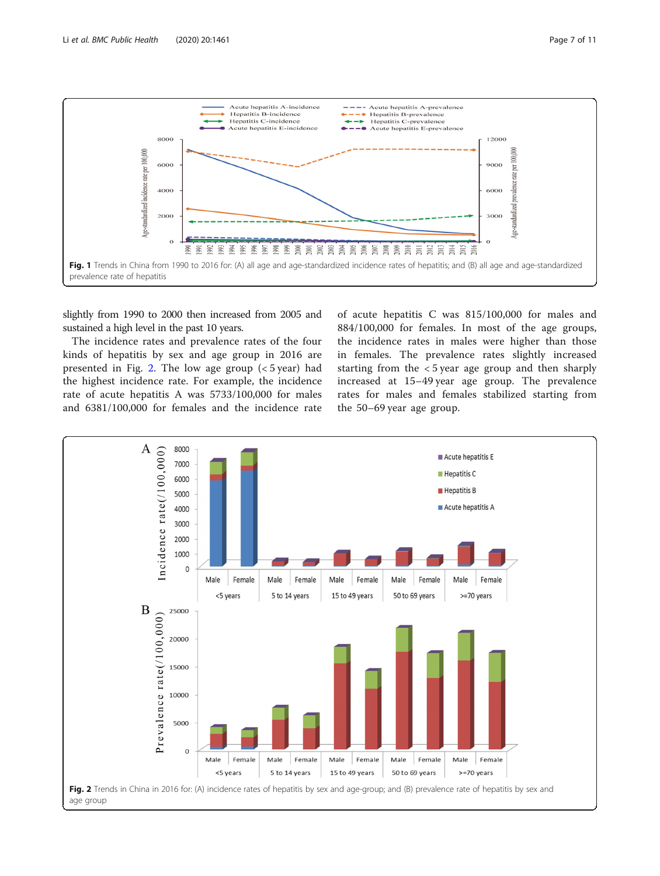<span id="page-6-0"></span>

slightly from 1990 to 2000 then increased from 2005 and sustained a high level in the past 10 years.

The incidence rates and prevalence rates of the four kinds of hepatitis by sex and age group in 2016 are presented in Fig. 2. The low age group (< 5 year) had the highest incidence rate. For example, the incidence rate of acute hepatitis A was 5733/100,000 for males and 6381/100,000 for females and the incidence rate

of acute hepatitis C was 815/100,000 for males and 884/100,000 for females. In most of the age groups, the incidence rates in males were higher than those in females. The prevalence rates slightly increased starting from the < 5 year age group and then sharply increased at 15–49 year age group. The prevalence rates for males and females stabilized starting from the 50–69 year age group.

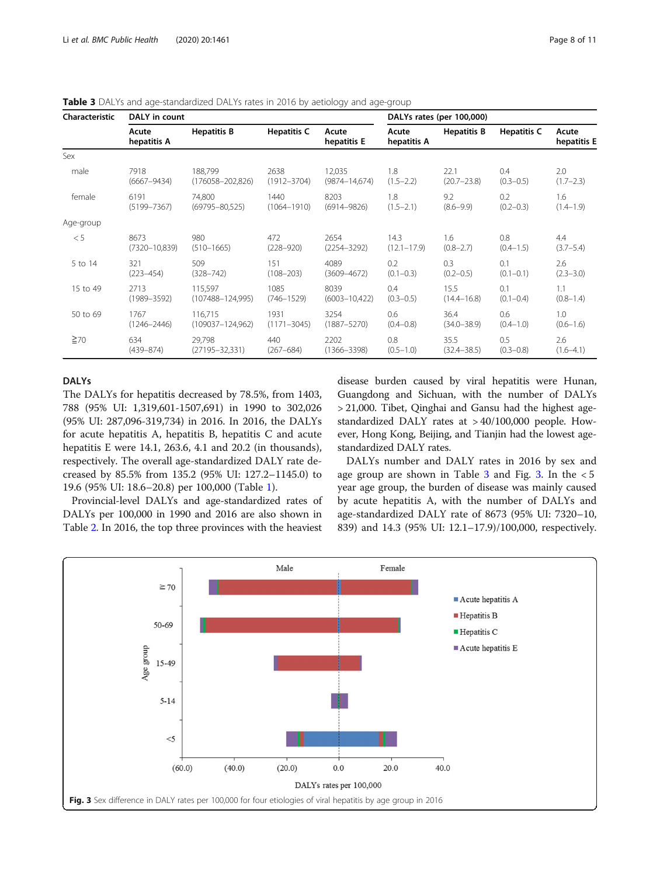| DALY in count           |                                 |                         |                             |                      | DALYs rates (per 100,000) |                      |                      |
|-------------------------|---------------------------------|-------------------------|-----------------------------|----------------------|---------------------------|----------------------|----------------------|
| Acute<br>hepatitis A    | <b>Hepatitis B</b>              | <b>Hepatitis C</b>      | Acute<br>hepatitis E        | Acute<br>hepatitis A | <b>Hepatitis B</b>        | <b>Hepatitis C</b>   | Acute<br>hepatitis E |
|                         |                                 |                         |                             |                      |                           |                      |                      |
| 7918<br>$(6667 - 9434)$ | 188.799<br>$(176058 - 202.826)$ | 2638<br>$(1912 - 3704)$ | 12.035<br>$(9874 - 14.674)$ | 1.8<br>$(1.5 - 2.2)$ | 22.1<br>$(20.7 - 23.8)$   | 0.4<br>$(0.3 - 0.5)$ | 2.0<br>$(1.7 - 2.3)$ |
| 6191<br>(5199-7367)     | 74.800<br>$(69795 - 80.525)$    | 1440<br>$(1064 - 1910)$ | 8203<br>$(6914 - 9826)$     | 1.8<br>$(1.5 - 2.1)$ | 9.2<br>$(8.6 - 9.9)$      | 0.2<br>$(0.2 - 0.3)$ | 1.6<br>$(1.4 - 1.9)$ |

14.3  $(12.1 - 17.9)$ 

0.2  $(0.1 - 0.3)$ 

0.4  $(0.3 - 0.5)$ 

0.6  $(0.4 - 0.8)$ 

0.8  $(0.5 - 1.0)$  1.6  $(0.8 - 2.7)$ 

0.3  $(0.2 - 0.5)$ 

15.5 (14.4–16.8)

36.4 (34.0–38.9)

35.5 (32.4–38.5) 0.8  $(0.4 - 1.5)$ 

0.1  $(0.1 - 0.1)$ 

0.1  $(0.1 - 0.4)$ 

0.6  $(0.4 - 1.0)$ 

0.5  $(0.3 - 0.8)$ 

2654 (2254–3292)

4089 (3609–4672)

8039 (6003–10,422)

3254 (1887–5270)

2202 (1366–3398)

Table 3 DALYs a

472 (228–920)

151 (108–203)

1085 (746–1529)

1931 (1171–3045)

440 (267–684)

#### DALYs

**Characteristic** 

female

Age-group

 $< 5$  8673

5 to 14 321

15 to 49 2713

50 to 69 1767

≧70 634

(7320–10,839)

(223–454)

(1989–3592)

(1246–2446)

(439–874)

Sex male

The DALYs for hepatitis decreased by 78.5%, from 1403, 788 (95% UI: 1,319,601-1507,691) in 1990 to 302,026 (95% UI: 287,096-319,734) in 2016. In 2016, the DALYs for acute hepatitis A, hepatitis B, hepatitis C and acute hepatitis E were 14.1, 263.6, 4.1 and 20.2 (in thousands), respectively. The overall age-standardized DALY rate decreased by 85.5% from 135.2 (95% UI: 127.2–1145.0) to 19.6 (95% UI: 18.6–20.8) per 100,000 (Table [1](#page-2-0)).

980 (510–1665)

509 (328–742)

115,597 (107488–124,995)

116,715 (109037–124,962)

29,798 (27195–32,331)

Provincial-level DALYs and age-standardized rates of DALYs per 100,000 in 1990 and 2016 are also shown in Table [2.](#page-3-0) In 2016, the top three provinces with the heaviest disease burden caused by viral hepatitis were Hunan, Guangdong and Sichuan, with the number of DALYs > 21,000. Tibet, Qinghai and Gansu had the highest agestandardized DALY rates at > 40/100,000 people. However, Hong Kong, Beijing, and Tianjin had the lowest agestandardized DALY rates.

DALYs number and DALY rates in 2016 by sex and age group are shown in Table  $3$  and Fig.  $3$ . In the  $\lt 5$ year age group, the burden of disease was mainly caused by acute hepatitis A, with the number of DALYs and age-standardized DALY rate of 8673 (95% UI: 7320–10, 839) and 14.3 (95% UI: 12.1–17.9)/100,000, respectively.



4.4  $(3.7–5.4)$ 

2.6 (2.3–3.0)

1.1  $(0.8 - 1.4)$ 

1.0  $(0.6–1.6)$ 

2.6  $(1.6-4.1)$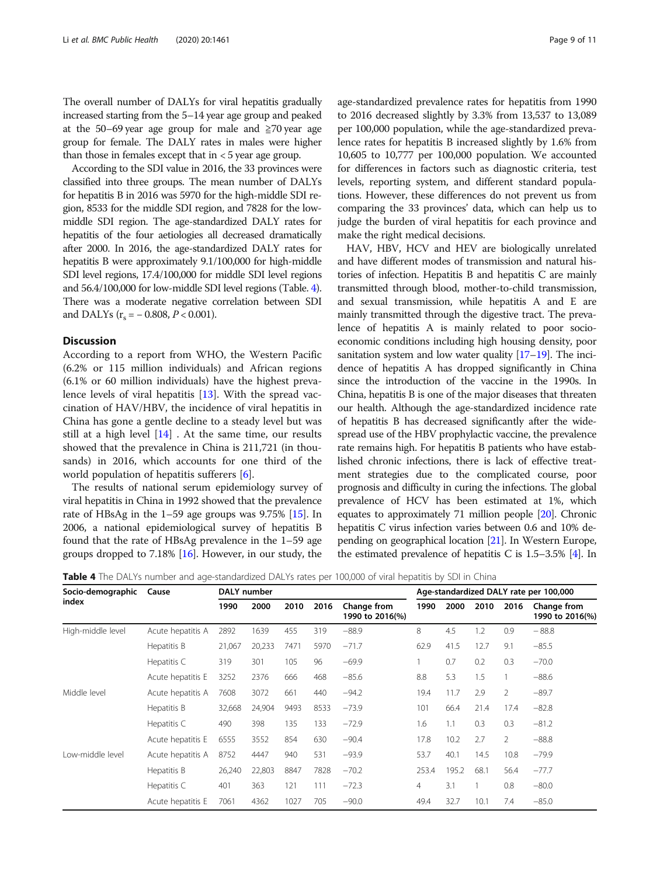The overall number of DALYs for viral hepatitis gradually increased starting from the 5–14 year age group and peaked at the 50–69 year age group for male and  $\geq$ 70 year age group for female. The DALY rates in males were higher than those in females except that in  $<$  5 year age group.

According to the SDI value in 2016, the 33 provinces were classified into three groups. The mean number of DALYs for hepatitis B in 2016 was 5970 for the high-middle SDI region, 8533 for the middle SDI region, and 7828 for the lowmiddle SDI region. The age-standardized DALY rates for hepatitis of the four aetiologies all decreased dramatically after 2000. In 2016, the age-standardized DALY rates for hepatitis B were approximately 9.1/100,000 for high-middle SDI level regions, 17.4/100,000 for middle SDI level regions and 56.4/100,000 for low-middle SDI level regions (Table. 4). There was a moderate negative correlation between SDI and DALYs ( $r_s = -0.808$ ,  $P < 0.001$ ).

#### **Discussion**

According to a report from WHO, the Western Pacific (6.2% or 115 million individuals) and African regions (6.1% or 60 million individuals) have the highest prevalence levels of viral hepatitis [[13](#page-10-0)]. With the spread vaccination of HAV/HBV, the incidence of viral hepatitis in China has gone a gentle decline to a steady level but was still at a high level  $[14]$  $[14]$  $[14]$ . At the same time, our results showed that the prevalence in China is 211,721 (in thousands) in 2016, which accounts for one third of the world population of hepatitis sufferers [\[6](#page-10-0)].

The results of national serum epidemiology survey of viral hepatitis in China in 1992 showed that the prevalence rate of HBsAg in the  $1-59$  age groups was  $9.75\%$  [[15](#page-10-0)]. In 2006, a national epidemiological survey of hepatitis B found that the rate of HBsAg prevalence in the 1–59 age groups dropped to  $7.18\%$  [\[16\]](#page-10-0). However, in our study, the age-standardized prevalence rates for hepatitis from 1990 to 2016 decreased slightly by 3.3% from 13,537 to 13,089 per 100,000 population, while the age-standardized prevalence rates for hepatitis B increased slightly by 1.6% from 10,605 to 10,777 per 100,000 population. We accounted for differences in factors such as diagnostic criteria, test levels, reporting system, and different standard populations. However, these differences do not prevent us from comparing the 33 provinces' data, which can help us to judge the burden of viral hepatitis for each province and make the right medical decisions.

HAV, HBV, HCV and HEV are biologically unrelated and have different modes of transmission and natural histories of infection. Hepatitis B and hepatitis C are mainly transmitted through blood, mother-to-child transmission, and sexual transmission, while hepatitis A and E are mainly transmitted through the digestive tract. The prevalence of hepatitis A is mainly related to poor socioeconomic conditions including high housing density, poor sanitation system and low water quality  $[17–19]$  $[17–19]$  $[17–19]$  $[17–19]$ . The incidence of hepatitis A has dropped significantly in China since the introduction of the vaccine in the 1990s. In China, hepatitis B is one of the major diseases that threaten our health. Although the age-standardized incidence rate of hepatitis B has decreased significantly after the widespread use of the HBV prophylactic vaccine, the prevalence rate remains high. For hepatitis B patients who have established chronic infections, there is lack of effective treatment strategies due to the complicated course, poor prognosis and difficulty in curing the infections. The global prevalence of HCV has been estimated at 1%, which equates to approximately 71 million people [\[20](#page-10-0)]. Chronic hepatitis C virus infection varies between 0.6 and 10% depending on geographical location [[21](#page-10-0)]. In Western Europe, the estimated prevalence of hepatitis C is  $1.5-3.5\%$  [[4\]](#page-10-0). In

**Table 4** The DALYs number and age-standardized DALYs rates per 100,000 of viral hepatitis by SDI in China

| Socio-demographic | Cause             |        | DALY number |      |      |                                |       |       |      |      | Age-standardized DALY rate per 100,000 |
|-------------------|-------------------|--------|-------------|------|------|--------------------------------|-------|-------|------|------|----------------------------------------|
| index             |                   | 1990   | 2000        | 2010 | 2016 | Change from<br>1990 to 2016(%) | 1990  | 2000  | 2010 | 2016 | Change from<br>1990 to 2016(%)         |
| High-middle level | Acute hepatitis A | 2892   | 1639        | 455  | 319  | $-88.9$                        | 8     | 4.5   | 1.2  | 0.9  | $-88.8$                                |
|                   | Hepatitis B       | 21,067 | 20,233      | 7471 | 5970 | $-71.7$                        | 62.9  | 41.5  | 12.7 | 9.1  | $-85.5$                                |
|                   | Hepatitis C       | 319    | 301         | 105  | 96   | $-69.9$                        |       | 0.7   | 0.2  | 0.3  | $-70.0$                                |
|                   | Acute hepatitis E | 3252   | 2376        | 666  | 468  | $-85.6$                        | 8.8   | 5.3   | 1.5  |      | $-88.6$                                |
| Middle level      | Acute hepatitis A | 7608   | 3072        | 661  | 440  | $-94.2$                        | 19.4  | 11.7  | 2.9  | 2    | $-89.7$                                |
|                   | Hepatitis B       | 32,668 | 24,904      | 9493 | 8533 | $-73.9$                        | 101   | 66.4  | 21.4 | 17.4 | $-82.8$                                |
|                   | Hepatitis C       | 490    | 398         | 135  | 133  | $-72.9$                        | 1.6   | 1.1   | 0.3  | 0.3  | $-81.2$                                |
|                   | Acute hepatitis E | 6555   | 3552        | 854  | 630  | $-90.4$                        | 17.8  | 10.2  | 2.7  | 2    | $-88.8$                                |
| Low-middle level  | Acute hepatitis A | 8752   | 4447        | 940  | 531  | $-93.9$                        | 53.7  | 40.1  | 14.5 | 10.8 | $-79.9$                                |
|                   | Hepatitis B       | 26,240 | 22,803      | 8847 | 7828 | $-70.2$                        | 253.4 | 195.2 | 68.1 | 56.4 | $-77.7$                                |
|                   | Hepatitis C       | 401    | 363         | 121  | 111  | $-72.3$                        | 4     | 3.1   |      | 0.8  | $-80.0$                                |
|                   | Acute hepatitis E | 7061   | 4362        | 1027 | 705  | $-90.0$                        | 49.4  | 32.7  | 10.1 | 7.4  | $-85.0$                                |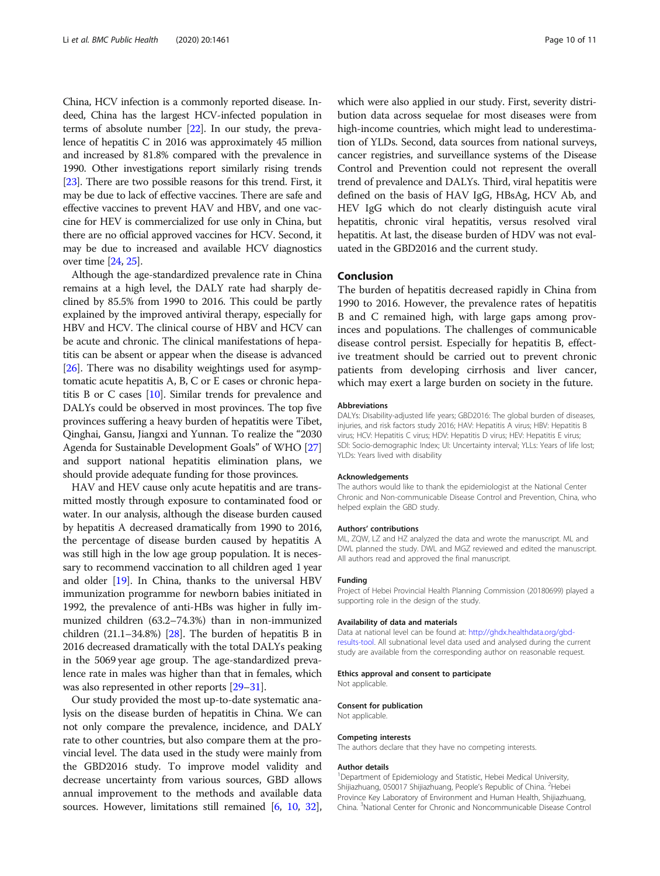China, HCV infection is a commonly reported disease. Indeed, China has the largest HCV-infected population in terms of absolute number [\[22\]](#page-10-0). In our study, the prevalence of hepatitis C in 2016 was approximately 45 million and increased by 81.8% compared with the prevalence in 1990. Other investigations report similarly rising trends [[23](#page-10-0)]. There are two possible reasons for this trend. First, it may be due to lack of effective vaccines. There are safe and effective vaccines to prevent HAV and HBV, and one vaccine for HEV is commercialized for use only in China, but there are no official approved vaccines for HCV. Second, it may be due to increased and available HCV diagnostics over time [\[24](#page-10-0), [25\]](#page-10-0).

Although the age-standardized prevalence rate in China remains at a high level, the DALY rate had sharply declined by 85.5% from 1990 to 2016. This could be partly explained by the improved antiviral therapy, especially for HBV and HCV. The clinical course of HBV and HCV can be acute and chronic. The clinical manifestations of hepatitis can be absent or appear when the disease is advanced [[26](#page-10-0)]. There was no disability weightings used for asymptomatic acute hepatitis A, B, C or E cases or chronic hepatitis B or C cases [[10](#page-10-0)]. Similar trends for prevalence and DALYs could be observed in most provinces. The top five provinces suffering a heavy burden of hepatitis were Tibet, Qinghai, Gansu, Jiangxi and Yunnan. To realize the "2030 Agenda for Sustainable Development Goals" of WHO [[27](#page-10-0)] and support national hepatitis elimination plans, we should provide adequate funding for those provinces.

HAV and HEV cause only acute hepatitis and are transmitted mostly through exposure to contaminated food or water. In our analysis, although the disease burden caused by hepatitis A decreased dramatically from 1990 to 2016, the percentage of disease burden caused by hepatitis A was still high in the low age group population. It is necessary to recommend vaccination to all children aged 1 year and older [[19](#page-10-0)]. In China, thanks to the universal HBV immunization programme for newborn babies initiated in 1992, the prevalence of anti-HBs was higher in fully immunized children (63.2–74.3%) than in non-immunized children (21.1–34.8%) [\[28\]](#page-10-0). The burden of hepatitis B in 2016 decreased dramatically with the total DALYs peaking in the 5069 year age group. The age-standardized prevalence rate in males was higher than that in females, which was also represented in other reports [\[29](#page-10-0)–[31](#page-10-0)].

Our study provided the most up-to-date systematic analysis on the disease burden of hepatitis in China. We can not only compare the prevalence, incidence, and DALY rate to other countries, but also compare them at the provincial level. The data used in the study were mainly from the GBD2016 study. To improve model validity and decrease uncertainty from various sources, GBD allows annual improvement to the methods and available data sources. However, limitations still remained [[6](#page-10-0), [10,](#page-10-0) [32](#page-10-0)],

which were also applied in our study. First, severity distribution data across sequelae for most diseases were from high-income countries, which might lead to underestimation of YLDs. Second, data sources from national surveys, cancer registries, and surveillance systems of the Disease Control and Prevention could not represent the overall trend of prevalence and DALYs. Third, viral hepatitis were defined on the basis of HAV IgG, HBsAg, HCV Ab, and HEV IgG which do not clearly distinguish acute viral hepatitis, chronic viral hepatitis, versus resolved viral hepatitis. At last, the disease burden of HDV was not evaluated in the GBD2016 and the current study.

### Conclusion

The burden of hepatitis decreased rapidly in China from 1990 to 2016. However, the prevalence rates of hepatitis B and C remained high, with large gaps among provinces and populations. The challenges of communicable disease control persist. Especially for hepatitis B, effective treatment should be carried out to prevent chronic patients from developing cirrhosis and liver cancer, which may exert a large burden on society in the future.

#### Abbreviations

DALYs: Disability-adjusted life years; GBD2016: The global burden of diseases, injuries, and risk factors study 2016; HAV: Hepatitis A virus; HBV: Hepatitis B virus; HCV: Hepatitis C virus; HDV: Hepatitis D virus; HEV: Hepatitis E virus; SDI: Socio-demographic Index; UI: Uncertainty interval; YLLs: Years of life lost; YLDs: Years lived with disability

#### Acknowledgements

The authors would like to thank the epidemiologist at the National Center Chronic and Non-communicable Disease Control and Prevention, China, who helped explain the GBD study.

#### Authors' contributions

ML, ZQW, LZ and HZ analyzed the data and wrote the manuscript. ML and DWL planned the study. DWL and MGZ reviewed and edited the manuscript. All authors read and approved the final manuscript.

#### Funding

Project of Hebei Provincial Health Planning Commission (20180699) played a supporting role in the design of the study.

#### Availability of data and materials

Data at national level can be found at: [http://ghdx.healthdata.org/gbd](http://ghdx.healthdata.org/gbd-results-tool)[results-tool.](http://ghdx.healthdata.org/gbd-results-tool) All subnational level data used and analysed during the current study are available from the corresponding author on reasonable request.

#### Ethics approval and consent to participate

Not applicable.

#### Consent for publication

Not applicable.

#### Competing interests

The authors declare that they have no competing interests.

#### Author details

<sup>1</sup>Department of Epidemiology and Statistic, Hebei Medical University, Shijiazhuang, 050017 Shijiazhuang, People's Republic of China. <sup>2</sup>Hebei Province Key Laboratory of Environment and Human Health, Shijiazhuang, China. <sup>3</sup> National Center for Chronic and Noncommunicable Disease Control